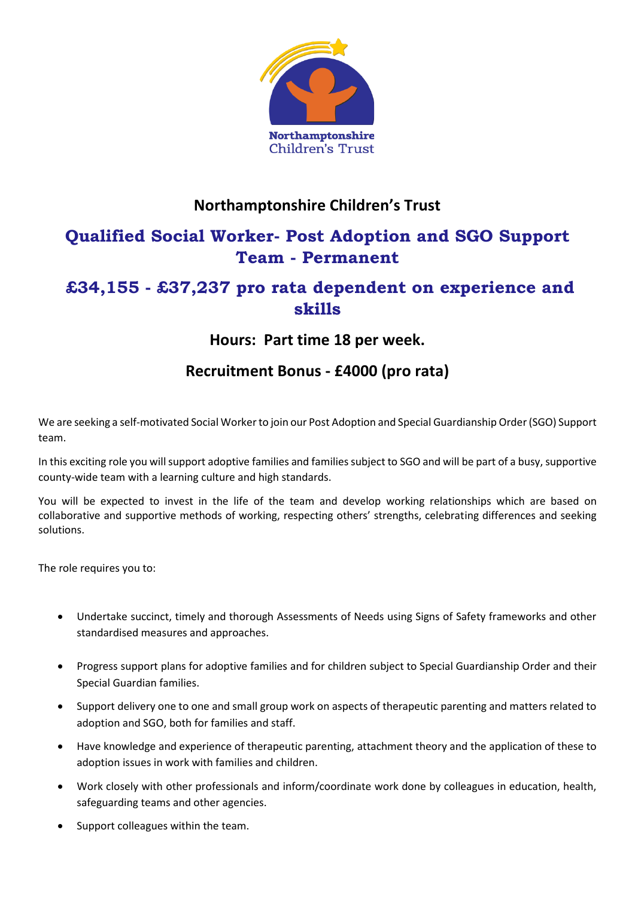

### **Northamptonshire Children's Trust**

# **Qualified Social Worker- Post Adoption and SGO Support Team - Permanent**

## **£34,155 - £37,237 pro rata dependent on experience and skills**

### **Hours: Part time 18 per week.**

### **Recruitment Bonus - £4000 (pro rata)**

We are seeking a self-motivated Social Worker to join our Post Adoption and Special Guardianship Order (SGO) Support team.

In this exciting role you will support adoptive families and families subject to SGO and will be part of a busy, supportive county-wide team with a learning culture and high standards.

You will be expected to invest in the life of the team and develop working relationships which are based on collaborative and supportive methods of working, respecting others' strengths, celebrating differences and seeking solutions.

The role requires you to:

- Undertake succinct, timely and thorough Assessments of Needs using Signs of Safety frameworks and other standardised measures and approaches.
- Progress support plans for adoptive families and for children subject to Special Guardianship Order and their Special Guardian families.
- Support delivery one to one and small group work on aspects of therapeutic parenting and matters related to adoption and SGO, both for families and staff.
- Have knowledge and experience of therapeutic parenting, attachment theory and the application of these to adoption issues in work with families and children.
- Work closely with other professionals and inform/coordinate work done by colleagues in education, health, safeguarding teams and other agencies.
- Support colleagues within the team.